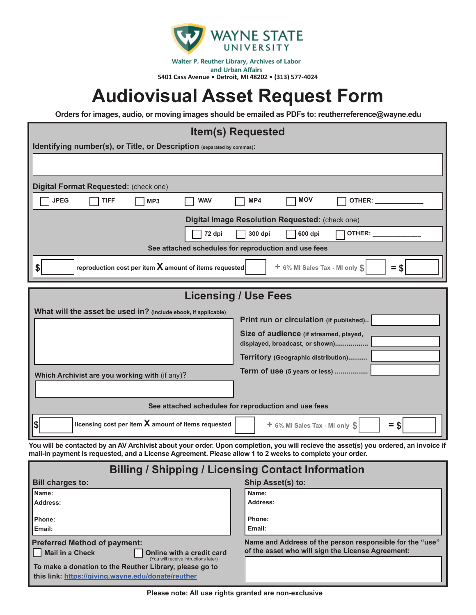

Walter P. Reuther Library, Archives of Labor and Urban Affairs **5401 Cass Avenue • Detroit, MI 48202 • (313) 577-4024**

# **Audiovisual Asset Request Form**

**Orders for images, audio, or moving images should be emailed as PDFs to: reutherreference@wayne.edu** 

#### **Item(s) Requested**

| IWIIIDI IWYWOWW                                                                                      |                                                                           |  |  |  |
|------------------------------------------------------------------------------------------------------|---------------------------------------------------------------------------|--|--|--|
| Identifying number(s), or Title, or Description (separated by commas):                               |                                                                           |  |  |  |
|                                                                                                      |                                                                           |  |  |  |
|                                                                                                      |                                                                           |  |  |  |
| Digital Format Requested: (check one)                                                                |                                                                           |  |  |  |
| <b>JPEG</b><br><b>TIFF</b><br><b>WAV</b><br>MP <sub>3</sub>                                          | <b>MOV</b><br>MP4<br>OTHER:                                               |  |  |  |
|                                                                                                      | Digital Image Resolution Requested: (check one)                           |  |  |  |
| 72 dpi                                                                                               | OTHER:<br>300 dpi<br>600 dpi                                              |  |  |  |
|                                                                                                      | See attached schedules for reproduction and use fees                      |  |  |  |
| reproduction cost per item $X$ amount of items requested<br>+ 6% MI Sales Tax - MI only \$<br>$=$ \$ |                                                                           |  |  |  |
|                                                                                                      |                                                                           |  |  |  |
|                                                                                                      |                                                                           |  |  |  |
|                                                                                                      | <b>Licensing / Use Fees</b>                                               |  |  |  |
| What will the asset be used in? (include ebook, if applicable)                                       |                                                                           |  |  |  |
|                                                                                                      | Print run or circulation (if published)                                   |  |  |  |
|                                                                                                      | Size of audience (if streamed, played,<br>displayed, broadcast, or shown) |  |  |  |
|                                                                                                      | Territory (Geographic distribution)                                       |  |  |  |
|                                                                                                      | Term of use (5 years or less)                                             |  |  |  |
| Which Archivist are you working with (if any)?                                                       |                                                                           |  |  |  |

**See attached schedules for reproduction and use fees**

 $\left| \cdot \cdot \cdot \right|$  **licensing cost per item X** amount of items requested  $+$  6% MI Sales Tax - MI only  $\left| \cdot \right|$  =  $\cdot$ 

**You will be contacted by an AV Archivist about your order. Upon completion, you will recieve the asset(s) you ordered, an invoice if mail-in payment is requested, and a License Agreement. Please allow 1 to 2 weeks to complete your order.**

| <b>Billing / Shipping / Licensing Contact Information</b>                            |                                                          |  |  |
|--------------------------------------------------------------------------------------|----------------------------------------------------------|--|--|
| <b>Bill charges to:</b>                                                              | Ship Asset(s) to:                                        |  |  |
| Name:                                                                                | Name:                                                    |  |  |
| Address:                                                                             | Address:                                                 |  |  |
| Phone:                                                                               | Phone:                                                   |  |  |
| Email:                                                                               | Email:                                                   |  |  |
| <b>Preferred Method of payment:</b>                                                  | Name and Address of the person responsible for the "use" |  |  |
| Mail in a Check<br>Online with a credit card<br>(You will receive intructions later) | of the asset who will sign the License Agreement:        |  |  |
| To make a donation to the Reuther Library, please go to                              |                                                          |  |  |
| this link: https://giving.wayne.edu/donate/reuther                                   |                                                          |  |  |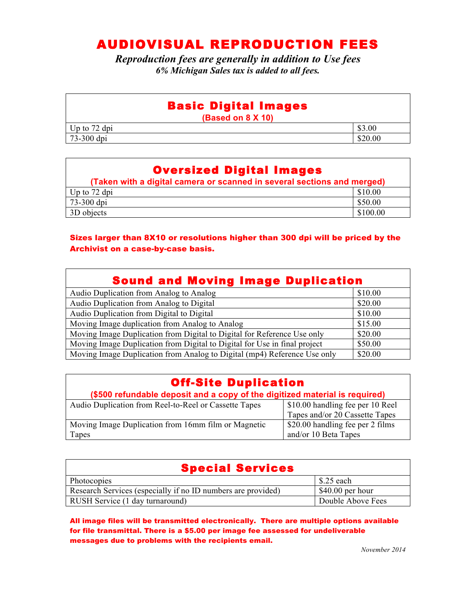## AUDIOVISUAL REPRODUCTION FEES

*Reproduction fees are generally in addition to Use fees 6% Michigan Sales tax is added to all fees.*

### Basic Digital Images

**(Based on 8 X 10)**

| $\sim$ $\sim$<br>$\mathbf{r}$<br>$\sim$<br>Up<br>dpi<br>to<br>∼  | 00. |
|------------------------------------------------------------------|-----|
| $\overline{\phantom{a}}$<br>$\sqrt{2}$<br>dp1<br>-3UU<br>¬-<br>້ | .00 |

### Oversized Digital Images

| (Taken with a digital camera or scanned in several sections and merged) |          |  |
|-------------------------------------------------------------------------|----------|--|
| Up to $72$ dpi                                                          | \$10.00  |  |
| 73-300 dpi                                                              | \$50.00  |  |
| 3D objects                                                              | \$100.00 |  |

#### Sizes larger than 8X10 or resolutions higher than 300 dpi will be priced by the Archivist on a case-by-case basis.

| <b>Sound and Moving Image Duplication</b>                                 |         |
|---------------------------------------------------------------------------|---------|
| Audio Duplication from Analog to Analog                                   | \$10.00 |
| Audio Duplication from Analog to Digital                                  | \$20.00 |
| Audio Duplication from Digital to Digital                                 | \$10.00 |
| Moving Image duplication from Analog to Analog                            | \$15.00 |
| Moving Image Duplication from Digital to Digital for Reference Use only   | \$20.00 |
| Moving Image Duplication from Digital to Digital for Use in final project | \$50.00 |
| Moving Image Duplication from Analog to Digital (mp4) Reference Use only  | \$20.00 |

| <b>Off-Site Duplication</b>                                                 |                                  |  |  |
|-----------------------------------------------------------------------------|----------------------------------|--|--|
| (\$500 refundable deposit and a copy of the digitized material is required) |                                  |  |  |
| Audio Duplication from Reel-to-Reel or Cassette Tapes                       | \$10.00 handling fee per 10 Reel |  |  |
|                                                                             | Tapes and/or 20 Cassette Tapes   |  |  |
| Moving Image Duplication from 16mm film or Magnetic                         | \$20.00 handling fee per 2 films |  |  |
| Tapes                                                                       | and/or 10 Beta Tapes             |  |  |

| <b>Special Services</b>                                      |                   |  |  |
|--------------------------------------------------------------|-------------------|--|--|
| Photocopies                                                  | $$.25$ each       |  |  |
| Research Services (especially if no ID numbers are provided) | $$40.00$ per hour |  |  |
| RUSH Service (1 day turnaround)                              | Double Above Fees |  |  |

All image files will be transmitted electronically. There are multiple options available for file transmittal. There is a \$5.00 per image fee assessed for undeliverable messages due to problems with the recipients email.

*November 2014*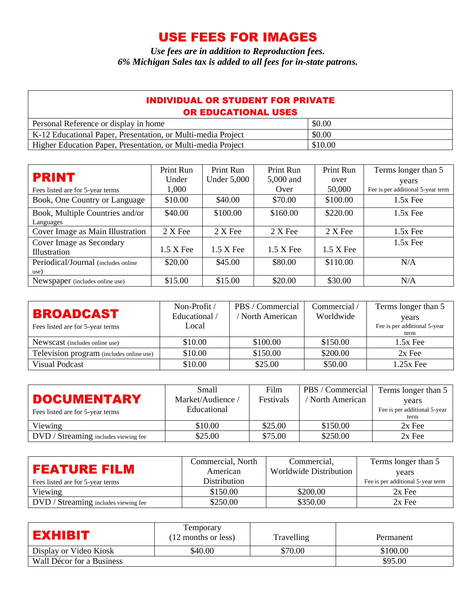## USE FEES FOR IMAGES

*Use fees are in addition to Reproduction fees. 6% Michigan Sales tax is added to all fees for in-state patrons.*

| <b>INDIVIDUAL OR STUDENT FOR PRIVATE</b><br><b>OR EDUCATIONAL USES</b> |         |  |  |
|------------------------------------------------------------------------|---------|--|--|
| Personal Reference or display in home                                  | \$0.00  |  |  |
| K-12 Educational Paper, Presentation, or Multi-media Project           | \$0.00  |  |  |
| Higher Education Paper, Presentation, or Multi-media Project           | \$10.00 |  |  |

|                                              | Print Run   | Print Run          | Print Run           | Print Run   | Terms longer than 5               |
|----------------------------------------------|-------------|--------------------|---------------------|-------------|-----------------------------------|
| <b>PRINT</b>                                 | Under       | <b>Under 5,000</b> | 5,000 and           | over        | years                             |
| Fees listed are for 5-year terms             | 1,000       |                    | Over                | 50,000      | Fee is per additional 5-year term |
| Book, One Country or Language                | \$10.00     | \$40.00            | \$70.00             | \$100.00    | $1.5x$ Fee                        |
| Book, Multiple Countries and/or<br>Languages | \$40.00     | \$100.00           | \$160.00            | \$220.00    | $1.5x$ Fee                        |
| Cover Image as Main Illustration             | $2 X$ Fee   | 2 X Fee            | $2 X$ Fee           | $2 X$ Fee   | $1.5x$ Fee                        |
| Cover Image as Secondary<br>Illustration     | $1.5 X$ Fee | $1.5 X$ Fee        | $1.5 \text{ X}$ Fee | $1.5 X$ Fee | $1.5x$ Fee                        |
| Periodical/Journal (includes online<br>use)  | \$20.00     | \$45.00            | \$80.00             | \$110.00    | N/A                               |
| Newspaper (includes online use)              | \$15.00     | \$15.00            | \$20.00             | \$30.00     | N/A                               |

|                                          | Non-Profit $/$ | PBS / Commercial | Commercial / | Terms longer than 5          |
|------------------------------------------|----------------|------------------|--------------|------------------------------|
| <b>BROADCAST</b>                         | Educational /  | North American   | Worldwide    | years                        |
| Fees listed are for 5-year terms         | Local          |                  |              | Fee is per additional 5-year |
|                                          |                |                  |              | term                         |
| Newscast (includes online use)           | \$10.00        | \$100.00         | \$150.00     | $1.5x$ Fee                   |
| Television program (includes online use) | \$10.00        | \$150.00         | \$200.00     | $2x$ Fee                     |
| Visual Podcast                           | \$10.00        | \$25.00          | \$50.00      | $1.25x$ Fee                  |

|                                      | Small             | Film      | PBS / Commercial | Terms longer than 5          |
|--------------------------------------|-------------------|-----------|------------------|------------------------------|
| <b>DOCUMENTARY</b>                   | Market/Audience / | Festivals | North American   | years                        |
| Fees listed are for 5-year terms     | Educational       |           |                  | Fee is per additional 5-year |
|                                      |                   |           |                  | term                         |
| Viewing                              | \$10.00           | \$25.00   | \$150.00         | $2x$ Fee                     |
| DVD / Streaming includes viewing fee | \$25.00           | \$75.00   | \$250.00         | $2x$ Fee                     |

| <b>FEATURE FILM</b><br>Fees listed are for 5-year terms | Commercial, North<br>American<br><b>Distribution</b> | Commercial,<br><b>Worldwide Distribution</b> | Terms longer than 5<br>vears<br>Fee is per additional 5-year term |
|---------------------------------------------------------|------------------------------------------------------|----------------------------------------------|-------------------------------------------------------------------|
| Viewing                                                 | \$150.00                                             | \$200.00                                     | $2x$ Fee                                                          |
| DVD / Streaming includes viewing fee                    | \$250.00                                             | \$350.00                                     | $2x$ Fee                                                          |

| <b>EXHIBIT</b>            | Temporary<br>(12 months or less) | Travelling | Permanent |
|---------------------------|----------------------------------|------------|-----------|
| Display or Video Kiosk    | \$40.00                          | \$70.00    | \$100.00  |
| Wall Décor for a Business |                                  |            | \$95.00   |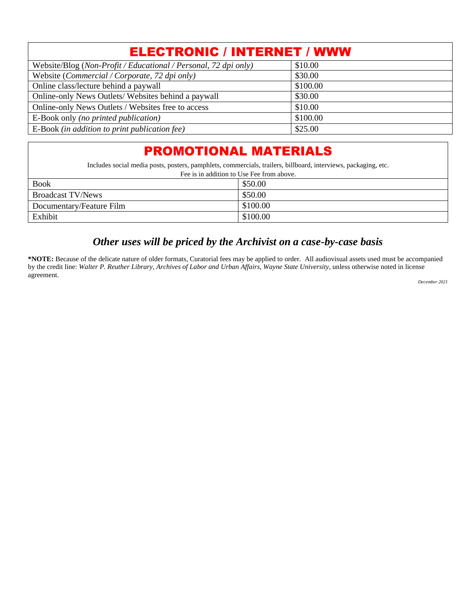| <b>ELECTRONIC / INTERNET / WWW</b>                              |          |  |
|-----------------------------------------------------------------|----------|--|
| Website/Blog (Non-Profit / Educational / Personal, 72 dpi only) | \$10.00  |  |
| Website (Commercial / Corporate, 72 dpi only)                   | \$30.00  |  |
| Online class/lecture behind a paywall                           | \$100.00 |  |
| Online-only News Outlets/Websites behind a paywall              | \$30.00  |  |
| Online-only News Outlets / Websites free to access              | \$10.00  |  |
| E-Book only (no printed publication)                            | \$100.00 |  |
| E-Book (in addition to print publication fee)                   | \$25.00  |  |

## PROMOTIONAL MATERIALS

Includes social media posts, posters, pamphlets, commercials, trailers, billboard, interviews, packaging, etc.

| Fee is in addition to Use Fee from above. |          |  |
|-------------------------------------------|----------|--|
| <b>Book</b>                               | \$50.00  |  |
| <b>Broadcast TV/News</b>                  | \$50.00  |  |
| Documentary/Feature Film                  | \$100.00 |  |
| Exhibit                                   | \$100.00 |  |

#### *Other uses will be priced by the Archivist on a case-by-case basis*

**\*NOTE:** Because of the delicate nature of older formats, Curatorial fees may be applied to order. All audiovisual assets used must be accompanied by the credit line: *Walter P. Reuther Library, Archives of Labor and Urban Affairs, Wayne State University*, unless otherwise noted in license agreement.

*December 2021*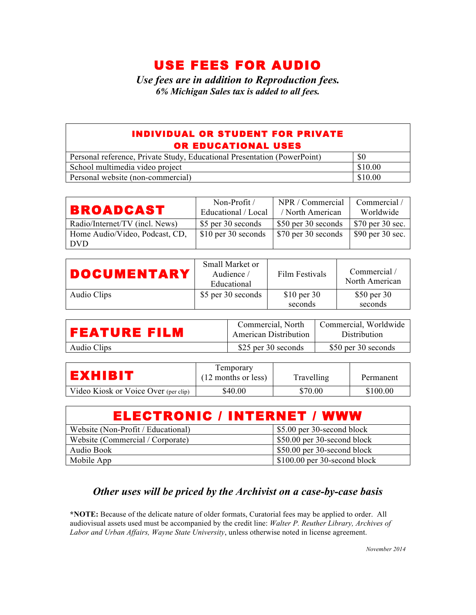## USE FEES FOR AUDIO

*Use fees are in addition to Reproduction fees. 6% Michigan Sales tax is added to all fees.*

#### INDIVIDUAL OR STUDENT FOR PRIVATE OR EDUCATIONAL USES

| Personal reference, Private Study, Educational Presentation (PowerPoint) | \$0     |
|--------------------------------------------------------------------------|---------|
| School multimedia video project                                          | \$10.00 |
| Personal website (non-commercial)                                        | \$10.00 |

| <b>BROADCAST</b>               | Non-Profit $\overline{\ }$<br>Educational / Local | NPR / Commercial<br>/ North American | Commercial /<br>Worldwide |
|--------------------------------|---------------------------------------------------|--------------------------------------|---------------------------|
| Radio/Internet/TV (incl. News) | \$5 per 30 seconds                                | \$50 per 30 seconds                  | \$70 per 30 sec.          |
| Home Audio/Video, Podcast, CD, | \$10 per 30 seconds                               | \$70 per 30 seconds                  | \$90 per 30 sec.          |
| DVD                            |                                                   |                                      |                           |

| <b>DOCUMENTARY</b> | Small Market or<br>Audience /<br>Educational | Film Festivals          | Commercial/<br>North American |
|--------------------|----------------------------------------------|-------------------------|-------------------------------|
| Audio Clips        | \$5 per 30 seconds                           | $$10$ per 30<br>seconds | \$50 per 30<br>seconds        |

| FEATURE FILM | Commercial, North<br><b>American Distribution</b> | Commercial, Worldwide<br><b>Distribution</b> |
|--------------|---------------------------------------------------|----------------------------------------------|
| Audio Clips  | \$25 per 30 seconds                               | \$50 per 30 seconds                          |

| ЕХНІВІТ                              | Temporary<br>(12 months or less) | Travelling | Permanent |
|--------------------------------------|----------------------------------|------------|-----------|
| Video Kiosk or Voice Over (per clip) | \$40.00                          | \$70.00    | \$100.00  |

| ELECTRONIC / INTERNET / WWW        |                               |  |  |
|------------------------------------|-------------------------------|--|--|
| Website (Non-Profit / Educational) | \$5.00 per 30-second block    |  |  |
| Website (Commercial / Corporate)   | \$50.00 per 30-second block   |  |  |
| Audio Book                         | \$50.00 per 30-second block   |  |  |
| Mobile App                         | $$100.00$ per 30-second block |  |  |

#### *Other uses will be priced by the Archivist on a case-by-case basis*

**\*NOTE:** Because of the delicate nature of older formats, Curatorial fees may be applied to order. All audiovisual assets used must be accompanied by the credit line: *Walter P. Reuther Library, Archives of Labor and Urban Affairs, Wayne State University*, unless otherwise noted in license agreement.